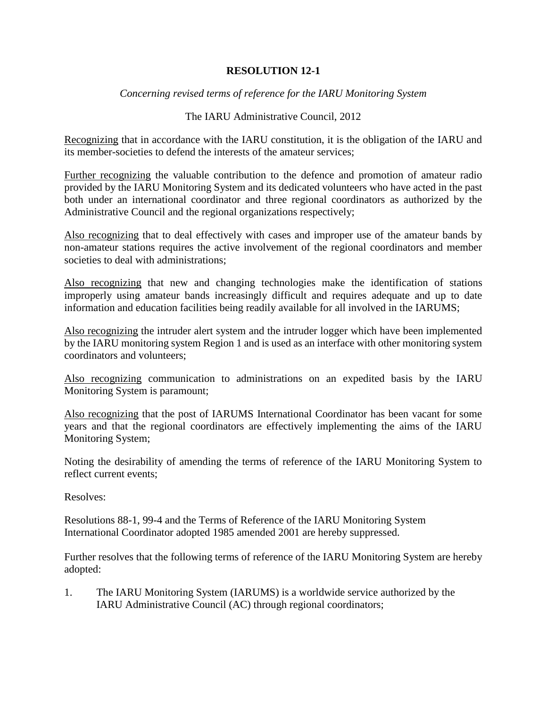## **RESOLUTION 12-1**

*Concerning revised terms of reference for the IARU Monitoring System*

## The IARU Administrative Council, 2012

Recognizing that in accordance with the IARU constitution, it is the obligation of the IARU and its member-societies to defend the interests of the amateur services;

Further recognizing the valuable contribution to the defence and promotion of amateur radio provided by the IARU Monitoring System and its dedicated volunteers who have acted in the past both under an international coordinator and three regional coordinators as authorized by the Administrative Council and the regional organizations respectively;

Also recognizing that to deal effectively with cases and improper use of the amateur bands by non-amateur stations requires the active involvement of the regional coordinators and member societies to deal with administrations:

Also recognizing that new and changing technologies make the identification of stations improperly using amateur bands increasingly difficult and requires adequate and up to date information and education facilities being readily available for all involved in the IARUMS;

Also recognizing the intruder alert system and the intruder logger which have been implemented by the IARU monitoring system Region 1 and is used as an interface with other monitoring system coordinators and volunteers;

Also recognizing communication to administrations on an expedited basis by the IARU Monitoring System is paramount;

Also recognizing that the post of IARUMS International Coordinator has been vacant for some years and that the regional coordinators are effectively implementing the aims of the IARU Monitoring System;

Noting the desirability of amending the terms of reference of the IARU Monitoring System to reflect current events;

Resolves:

Resolutions 88-1, 99-4 and the Terms of Reference of the IARU Monitoring System International Coordinator adopted 1985 amended 2001 are hereby suppressed.

Further resolves that the following terms of reference of the IARU Monitoring System are hereby adopted:

1. The IARU Monitoring System (IARUMS) is a worldwide service authorized by the IARU Administrative Council (AC) through regional coordinators;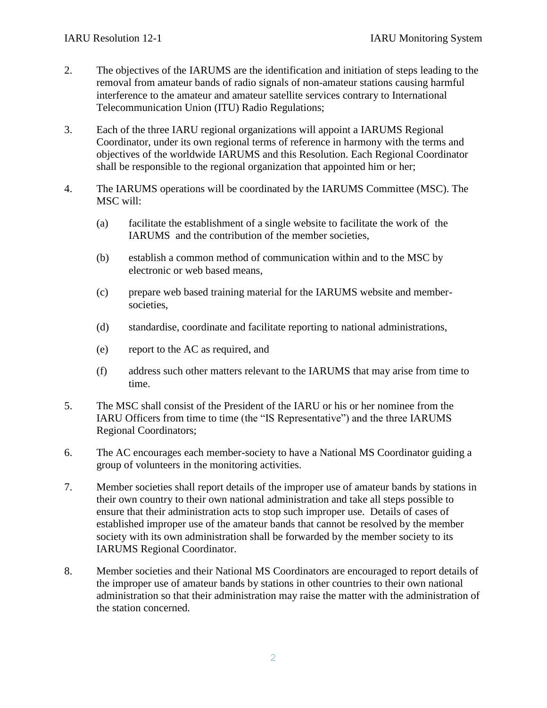- 2. The objectives of the IARUMS are the identification and initiation of steps leading to the removal from amateur bands of radio signals of non-amateur stations causing harmful interference to the amateur and amateur satellite services contrary to International Telecommunication Union (ITU) Radio Regulations;
- 3. Each of the three IARU regional organizations will appoint a IARUMS Regional Coordinator, under its own regional terms of reference in harmony with the terms and objectives of the worldwide IARUMS and this Resolution. Each Regional Coordinator shall be responsible to the regional organization that appointed him or her;
- 4. The IARUMS operations will be coordinated by the IARUMS Committee (MSC). The MSC will:
	- (a) facilitate the establishment of a single website to facilitate the work of the IARUMS and the contribution of the member societies,
	- (b) establish a common method of communication within and to the MSC by electronic or web based means,
	- (c) prepare web based training material for the IARUMS website and membersocieties,
	- (d) standardise, coordinate and facilitate reporting to national administrations,
	- (e) report to the AC as required, and
	- (f) address such other matters relevant to the IARUMS that may arise from time to time.
- 5. The MSC shall consist of the President of the IARU or his or her nominee from the IARU Officers from time to time (the "IS Representative") and the three IARUMS Regional Coordinators;
- 6. The AC encourages each member-society to have a National MS Coordinator guiding a group of volunteers in the monitoring activities.
- 7. Member societies shall report details of the improper use of amateur bands by stations in their own country to their own national administration and take all steps possible to ensure that their administration acts to stop such improper use. Details of cases of established improper use of the amateur bands that cannot be resolved by the member society with its own administration shall be forwarded by the member society to its IARUMS Regional Coordinator.
- 8. Member societies and their National MS Coordinators are encouraged to report details of the improper use of amateur bands by stations in other countries to their own national administration so that their administration may raise the matter with the administration of the station concerned.